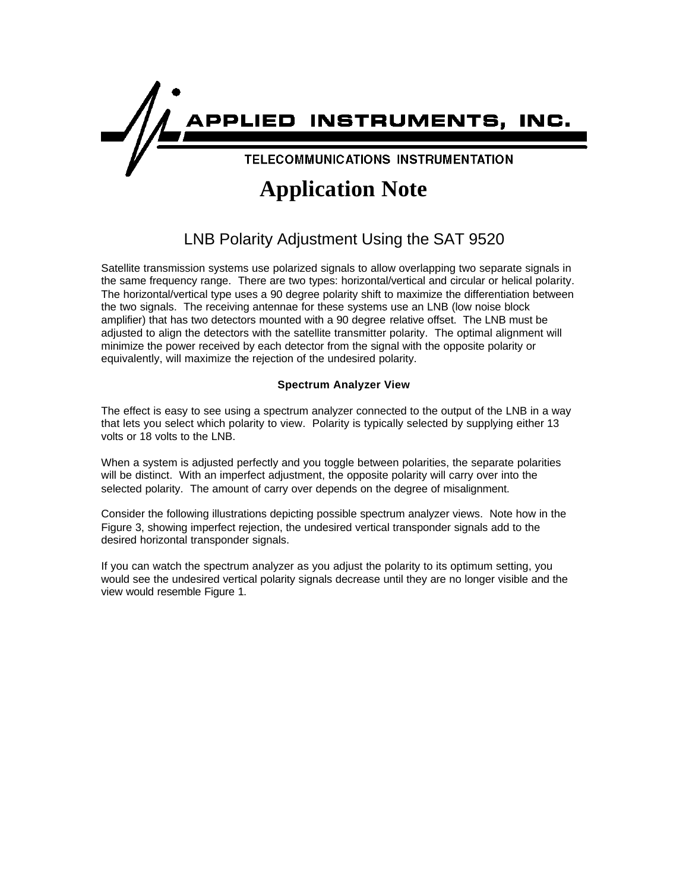

# **Application Note**

# LNB Polarity Adjustment Using the SAT 9520

Satellite transmission systems use polarized signals to allow overlapping two separate signals in the same frequency range. There are two types: horizontal/vertical and circular or helical polarity. The horizontal/vertical type uses a 90 degree polarity shift to maximize the differentiation between the two signals. The receiving antennae for these systems use an LNB (low noise block amplifier) that has two detectors mounted with a 90 degree relative offset. The LNB must be adjusted to align the detectors with the satellite transmitter polarity. The optimal alignment will minimize the power received by each detector from the signal with the opposite polarity or equivalently, will maximize the rejection of the undesired polarity.

# **Spectrum Analyzer View**

The effect is easy to see using a spectrum analyzer connected to the output of the LNB in a way that lets you select which polarity to view. Polarity is typically selected by supplying either 13 volts or 18 volts to the LNB.

When a system is adjusted perfectly and you toggle between polarities, the separate polarities will be distinct. With an imperfect adjustment, the opposite polarity will carry over into the selected polarity. The amount of carry over depends on the degree of misalignment.

Consider the following illustrations depicting possible spectrum analyzer views. Note how in the Figure 3, showing imperfect rejection, the undesired vertical transponder signals add to the desired horizontal transponder signals.

If you can watch the spectrum analyzer as you adjust the polarity to its optimum setting, you would see the undesired vertical polarity signals decrease until they are no longer visible and the view would resemble Figure 1.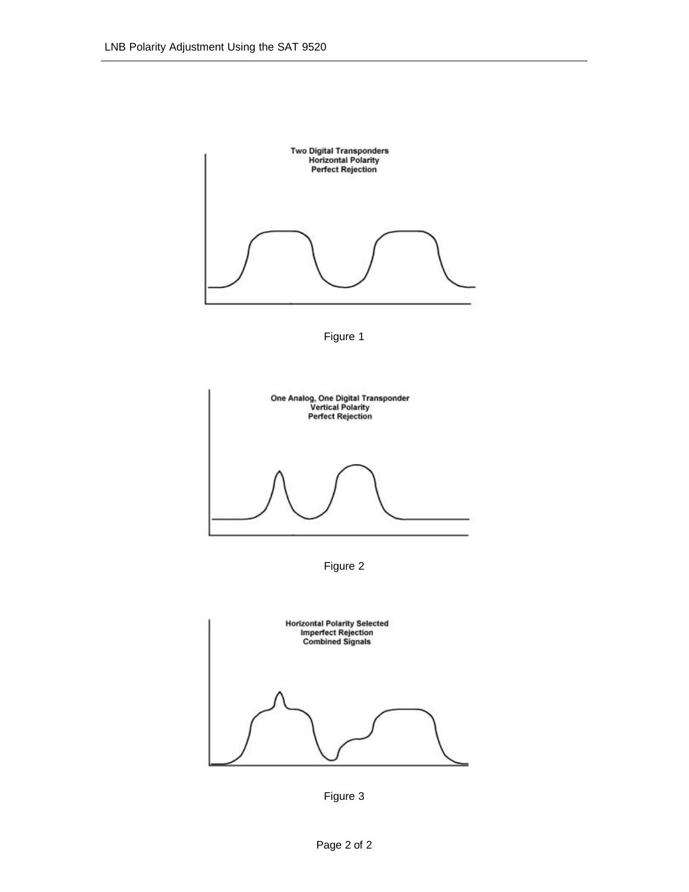





Figure 2



Figure 3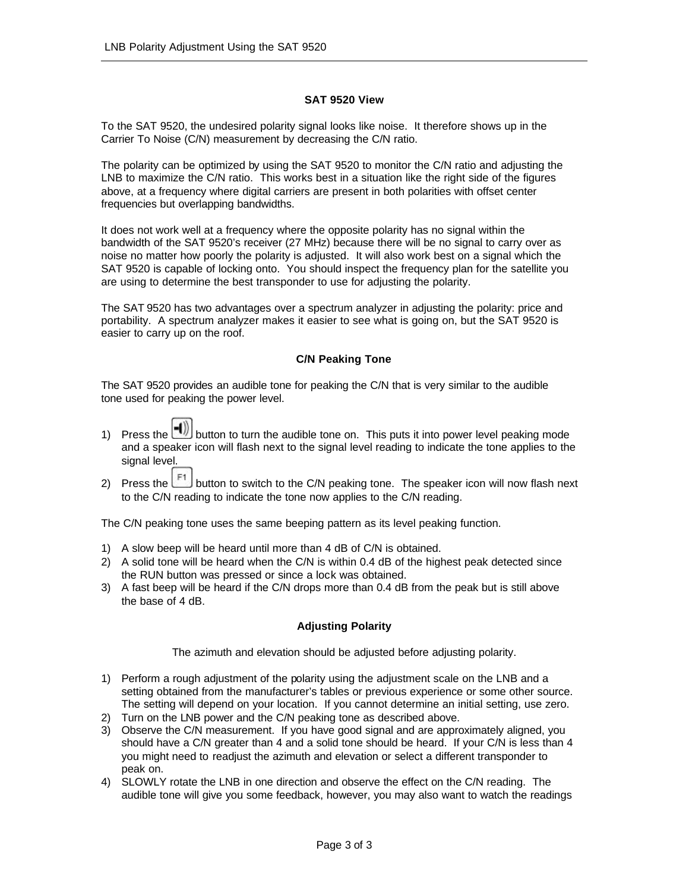## **SAT 9520 View**

To the SAT 9520, the undesired polarity signal looks like noise. It therefore shows up in the Carrier To Noise (C/N) measurement by decreasing the C/N ratio.

The polarity can be optimized by using the SAT 9520 to monitor the C/N ratio and adjusting the LNB to maximize the C/N ratio. This works best in a situation like the right side of the figures above, at a frequency where digital carriers are present in both polarities with offset center frequencies but overlapping bandwidths.

It does not work well at a frequency where the opposite polarity has no signal within the bandwidth of the SAT 9520's receiver (27 MHz) because there will be no signal to carry over as noise no matter how poorly the polarity is adjusted. It will also work best on a signal which the SAT 9520 is capable of locking onto. You should inspect the frequency plan for the satellite you are using to determine the best transponder to use for adjusting the polarity.

The SAT 9520 has two advantages over a spectrum analyzer in adjusting the polarity: price and portability. A spectrum analyzer makes it easier to see what is going on, but the SAT 9520 is easier to carry up on the roof.

### **C/N Peaking Tone**

The SAT 9520 provides an audible tone for peaking the C/N that is very similar to the audible tone used for peaking the power level.

- 1) Press the  $\begin{pmatrix} -1 \\ -1 \end{pmatrix}$  button to turn the audible tone on. This puts it into power level peaking mode and a speaker icon will flash next to the signal level reading to indicate the tone applies to the signal level.
- 2) Press the  $\mathbb{E}^1$  button to switch to the C/N peaking tone. The speaker icon will now flash next to the C/N reading to indicate the tone now applies to the C/N reading.

The C/N peaking tone uses the same beeping pattern as its level peaking function.

- 1) A slow beep will be heard until more than 4 dB of C/N is obtained.
- 2) A solid tone will be heard when the C/N is within 0.4 dB of the highest peak detected since the RUN button was pressed or since a lock was obtained.
- 3) A fast beep will be heard if the C/N drops more than 0.4 dB from the peak but is still above the base of 4 dB.

### **Adjusting Polarity**

The azimuth and elevation should be adjusted before adjusting polarity.

- 1) Perform a rough adjustment of the polarity using the adjustment scale on the LNB and a setting obtained from the manufacturer's tables or previous experience or some other source. The setting will depend on your location. If you cannot determine an initial setting, use zero.
- 2) Turn on the LNB power and the C/N peaking tone as described above.
- 3) Observe the C/N measurement. If you have good signal and are approximately aligned, you should have a C/N greater than 4 and a solid tone should be heard. If your C/N is less than 4 you might need to readjust the azimuth and elevation or select a different transponder to peak on.
- 4) SLOWLY rotate the LNB in one direction and observe the effect on the C/N reading. The audible tone will give you some feedback, however, you may also want to watch the readings